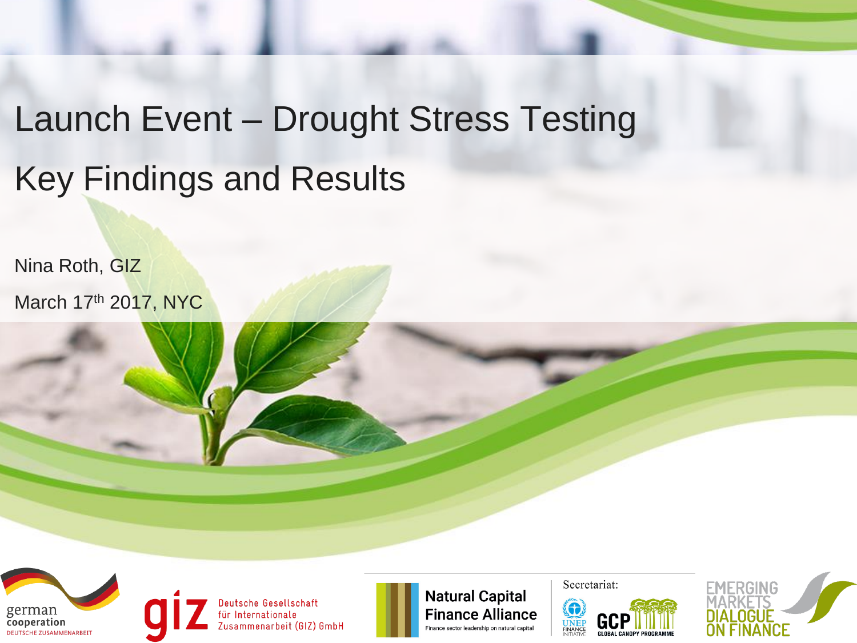## Launch Event – Drought Stress Testing Key Findings and Results

Nina Roth, GIZ March 17th 2017, NYC



Deutsche Gesellschaft<br>für Internationale<br>Zusammenarbeit (GIZ) GmbH

**Natural Capital Finance Alliance** Finance sector leadership on natural capital

Secretariat:



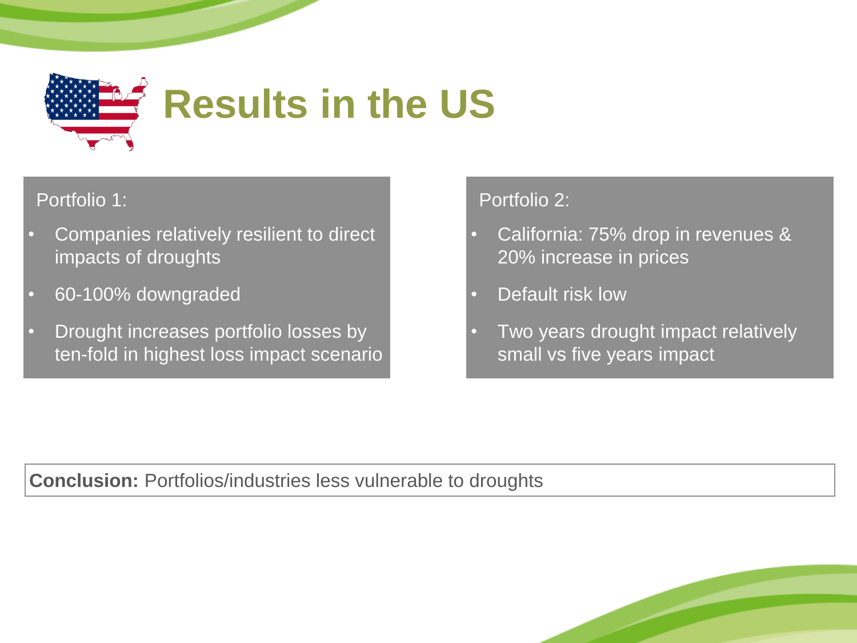

# **Results in the US**

#### Portfolio 1:

- Companies relatively resilient to direct impacts of droughts
- 60-100% downgraded
- Drought increases portfolio losses by ten-fold in highest loss impact scenario

#### Portfolio 2:

- California: 75% drop in revenues & 20% increase in prices
- Default risk low
- Two years drought impact relatively small vs five years impact

**Conclusion:** Portfolios/industries less vulnerable to droughts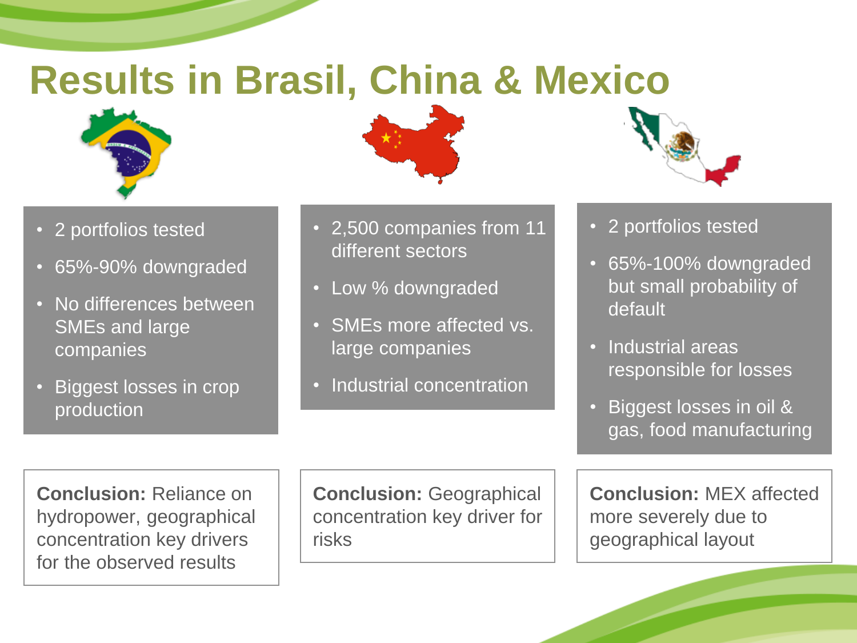### **Results in Brasil, China & Mexico**



- 2 portfolios tested
- 65%-90% downgraded
- No differences between SMEs and large companies
- Biggest losses in crop production



- 2,500 companies from 11 different sectors
- Low % downgraded
- SMEs more affected vs. large companies
- Industrial concentration



- 2 portfolios tested
- 65%-100% downgraded but small probability of default
- Industrial areas responsible for losses
- Biggest losses in oil & gas, food manufacturing

**Conclusion:** Reliance on hydropower, geographical concentration key drivers for the observed results

**Conclusion:** Geographical concentration key driver for risks

**Conclusion:** MEX affected more severely due to geographical layout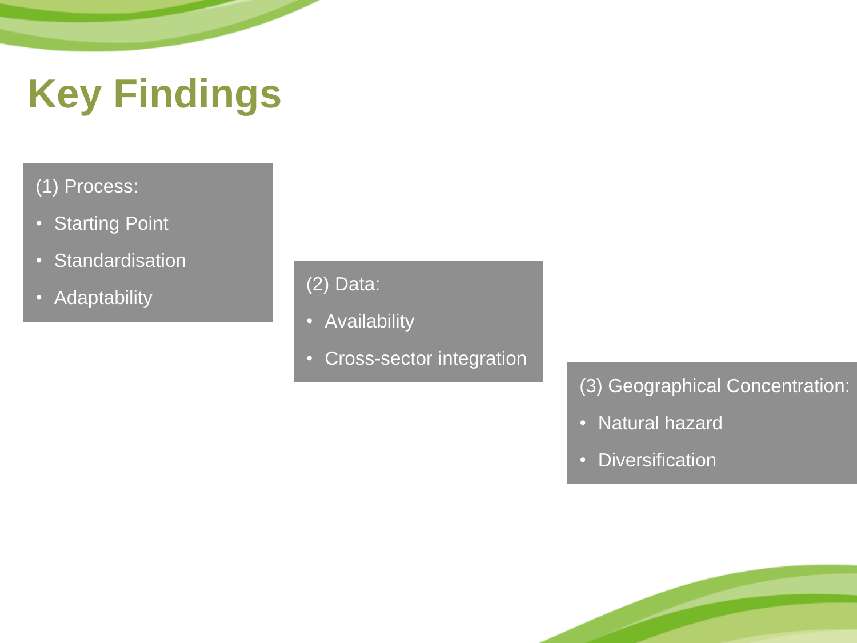## **Key Findings**

#### (1) Process:

- Starting Point
- Standardisation
- Adaptability

#### (2) Data:

- Availability
- Cross-sector integration

#### (3) Geographical Concentration:

- Natural hazard
- Diversification